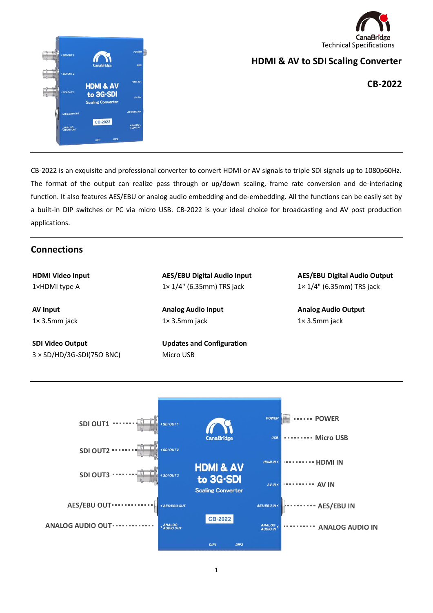



### **HDMI & AV to SDI Scaling Converter**

**CB-2022**

CB-2022 is an exquisite and professional converter to convert HDMI or AV signals to triple SDI signals up to 1080p60Hz. The format of the output can realize pass through or up/down scaling, frame rate conversion and de-interlacing function. It also features AES/EBU or analog audio embedding and de-embedding. All the functions can be easily set by a built-in DIP switches or PC via micro USB. CB-2022 is your ideal choice for broadcasting and AV post production applications.

### **Connections**

**HDMI Video Input** 1×HDMI type A

**AV Input** 1× 3.5mm jack

**SDI Video Output** 3 × SD/HD/3G-SDI(75Ω BNC) **AES/EBU Digital Audio Input** 1× 1/4" (6.35mm) TRS jack

**Analog Audio Input** 1× 3.5mm jack

**Updates and Configuration** Micro USB

**AES/EBU Digital Audio Output** 1× 1/4" (6.35mm) TRS jack

**Analog Audio Output** 1× 3.5mm jack

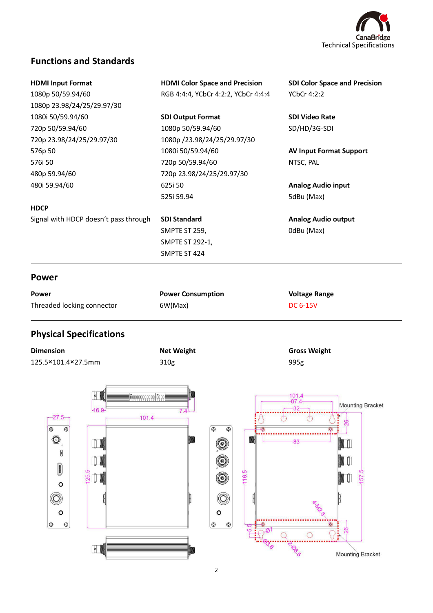

# **Functions and Standards**

| <b>HDMI Input Format</b>              | <b>HDMI Color Space and Precision</b> | <b>SDI Color Space and Precision</b> |  |  |
|---------------------------------------|---------------------------------------|--------------------------------------|--|--|
| 1080p 50/59.94/60                     | RGB 4:4:4, YCbCr 4:2:2, YCbCr 4:4:4   | YCbCr 4:2:2                          |  |  |
| 1080p 23.98/24/25/29.97/30            |                                       |                                      |  |  |
| 1080i 50/59.94/60                     | <b>SDI Output Format</b>              | <b>SDI Video Rate</b>                |  |  |
| 720p 50/59.94/60                      | 1080p 50/59.94/60                     | SD/HD/3G-SDI                         |  |  |
| 720p 23.98/24/25/29.97/30             | 1080p /23.98/24/25/29.97/30           |                                      |  |  |
| 576p 50                               | 1080i 50/59.94/60                     | <b>AV Input Format Support</b>       |  |  |
| 576i 50                               | 720p 50/59.94/60                      | NTSC, PAL                            |  |  |
| 480p 59.94/60                         | 720p 23.98/24/25/29.97/30             |                                      |  |  |
| 480i 59.94/60                         | 625i 50                               | <b>Analog Audio input</b>            |  |  |
|                                       | 525i 59.94                            | 5dBu (Max)                           |  |  |
| <b>HDCP</b>                           |                                       |                                      |  |  |
| Signal with HDCP doesn't pass through | <b>SDI Standard</b>                   | <b>Analog Audio output</b>           |  |  |
|                                       | SMPTE ST 259,                         | OdBu (Max)                           |  |  |
|                                       | SMPTE ST 292-1,                       |                                      |  |  |
|                                       | SMPTE ST 424                          |                                      |  |  |
| <b>Power</b>                          |                                       |                                      |  |  |
| Power                                 | <b>Power Consumption</b>              | <b>Voltage Range</b>                 |  |  |
| Threaded locking connector            | 6W(Max)                               | <b>DC 6-15V</b>                      |  |  |

# **Physical Specifications**

 $\mathsf{o}$  $\circledcirc$ 

 $\sqrt{2}$ 

O

l

| <u>.  sheemenen .</u>                                                                   |                         |                                       |                                                                                  |            |                              |                                    |
|-----------------------------------------------------------------------------------------|-------------------------|---------------------------------------|----------------------------------------------------------------------------------|------------|------------------------------|------------------------------------|
| <b>Dimension</b>                                                                        |                         | <b>Net Weight</b>                     |                                                                                  |            | <b>Gross Weight</b>          |                                    |
| 125.5×101.4×27.5mm                                                                      |                         | 310g                                  |                                                                                  |            | 995g                         |                                    |
| $-27.5-$<br>$\circ$<br>$\circledcirc$<br>$\circledcirc$<br>$\circ$<br>D<br>I<br>$\circ$ | $\sqrt{2}$<br>$-16.9 -$ | Geoeceecee   Geoe<br>$7.4 -$<br>101.4 | $\circledcirc$<br><sup>⊗</sup><br>$_{\odot}$<br>$\circledcirc$<br>$\circledcirc$ | W<br>116.5 | $-101.4$<br>87.4<br>32<br>83 | <b>Mounting Bracket</b><br>ၛ<br>57 |
|                                                                                         |                         |                                       |                                                                                  |            | ×,                           |                                    |

 $\circ$ 

5.5

 $\overline{\Omega}$ 

Mounting Bracket

Cegar

 $\Omega$ 

 $\circ$  $\circ$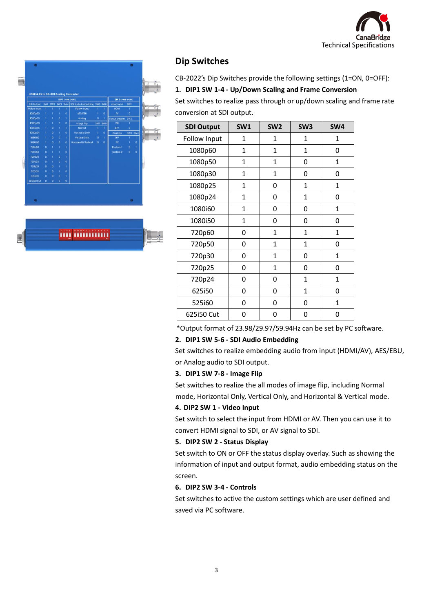





### **Dip Switches**

CB-2022's Dip Switches provide the following settings (1=ON, 0=OFF):

#### **1. DIP1 SW 1-4 - Up/Down Scaling and Frame Conversion**

Set switches to realize pass through or up/down scaling and frame rate conversion at SDI output.

| <b>SDI Output</b>   | <b>SW1</b>   | SW <sub>2</sub> | SW <sub>3</sub> | SW4          |
|---------------------|--------------|-----------------|-----------------|--------------|
| <b>Follow Input</b> | 1            | 1               | 1               | 1            |
| 1080p60             | $\mathbf{1}$ | $\mathbf{1}$    | 1               | 0            |
| 1080p50             | $\mathbf{1}$ | $\mathbf{1}$    | 0               | $\mathbf{1}$ |
| 1080p30             | $\mathbf{1}$ | $\mathbf{1}$    | 0               | 0            |
| 1080p25             | $\mathbf{1}$ | 0               | $\mathbf{1}$    | 1            |
| 1080p24             | 1            | 0               | 1               | 0            |
| 1080i60             | 1            | 0               | 0               | 1            |
| 1080i50             | $\mathbf{1}$ | 0               | 0               | 0            |
| 720p60              | 0            | $\mathbf{1}$    | $\mathbf{1}$    | $\mathbf{1}$ |
| 720p50              | 0            | $\mathbf{1}$    | $\mathbf{1}$    | 0            |
| 720p30              | 0            | 1               | 0               | $\mathbf{1}$ |
| 720p25              | O            | 1               | 0               | 0            |
| 720p24              | 0            | 0               | 1               | $\mathbf{1}$ |
| 625i50              | 0            | 0               | 1               | 0            |
| 525i60              | 0            | 0               | 0               | $\mathbf{1}$ |
| 625i50 Cut          | 0            | 0               | 0               | 0            |

\*Output format of 23.98/29.97/59.94Hz can be set by PC software.

#### **2. DIP1 SW 5-6 - SDI Audio Embedding**

Set switches to realize embedding audio from input (HDMI/AV), AES/EBU, or Analog audio to SDI output.

#### **3. DIP1 SW 7-8 - Image Flip**

Set switches to realize the all modes of image flip, including Normal mode, Horizontal Only, Vertical Only, and Horizontal & Vertical mode.

#### **4. DIP2 SW 1 - Video Input**

Set switch to select the input from HDMI or AV. Then you can use it to convert HDMI signal to SDI, or AV signal to SDI.

#### **5. DIP2 SW 2 - Status Display**

Set switch to ON or OFF the status display overlay. Such as showing the information of input and output format, audio embedding status on the screen.

#### **6. DIP2 SW 3-4 - Controls**

Set switches to active the custom settings which are user defined and saved via PC software.